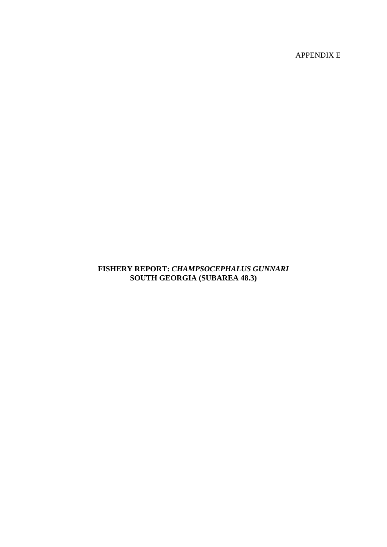APPENDIX E

# **FISHERY REPORT:** *CHAMPSOCEPHALUS GUNNARI*  **SOUTH GEORGIA (SUBAREA 48.3)**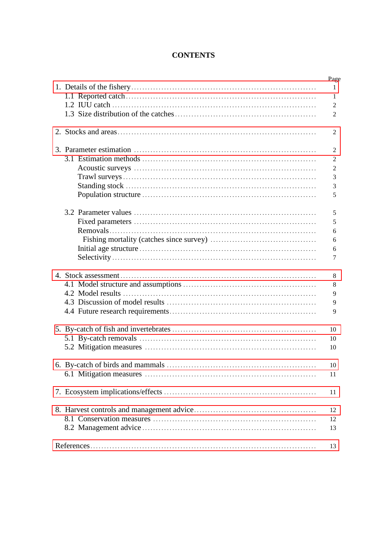# **CONTENTS**

|  | Page           |
|--|----------------|
|  | $\mathbf{1}$   |
|  | 1              |
|  | 2              |
|  | 2              |
|  | 2              |
|  | 2              |
|  | 2              |
|  | $\overline{2}$ |
|  | $\mathfrak{Z}$ |
|  | $\mathfrak{Z}$ |
|  | 5              |
|  | 5              |
|  | 5              |
|  | 6              |
|  | 6              |
|  | 6              |
|  | 7              |
|  | 8              |
|  | 8              |
|  | 9              |
|  | 9              |
|  | 9              |
|  |                |
|  | 10             |
|  | 10             |
|  | 10             |
|  | 10             |
|  | 11             |
|  |                |
|  | 11             |
|  | 12             |
|  | 12             |
|  | 13             |
|  | 13             |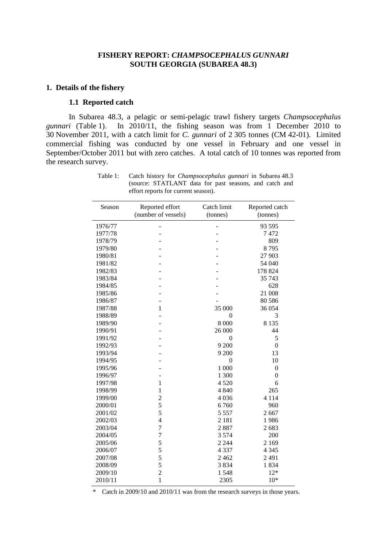## **FISHERY REPORT:** *CHAMPSOCEPHALUS GUNNARI* **SOUTH GEORGIA (SUBAREA 48.3)**

#### <span id="page-2-0"></span>**1. Details of the fishery**

# **1.1 Reported catch**

In Subarea 48.3, a pelagic or semi-pelagic trawl fishery targets *Champsocephalus gunnari* (Table 1). In 2010/11, the fishing season was from 1 December 2010 to 30 November 2011, with a catch limit for *C. gunnari* of 2 305 tonnes (CM 42-01). Limited commercial fishing was conducted by one vessel in February and one vessel in September/October 2011 but with zero catches. A total catch of 10 tonnes was reported from the research survey.

| Season  | Reported effort     | Catch limit    | Reported catch   |
|---------|---------------------|----------------|------------------|
|         | (number of vessels) |                | (tonnes)         |
|         |                     | (tonnes)       |                  |
| 1976/77 |                     |                | 93 595           |
| 1977/78 |                     |                | 7472             |
| 1978/79 |                     |                | 809              |
| 1979/80 |                     |                | 8795             |
| 1980/81 |                     |                | 27 903           |
| 1981/82 |                     |                | 54 040           |
| 1982/83 |                     |                | 178 824          |
| 1983/84 |                     |                | 35 743           |
| 1984/85 |                     |                | 628              |
| 1985/86 |                     |                | 21 008           |
| 1986/87 |                     |                | 80 5 86          |
| 1987/88 | $\mathbf{1}$        | 35 000         | 36 054           |
| 1988/89 |                     | $\theta$       | 3                |
| 1989/90 |                     | 8 0 0 0        | 8 1 3 5          |
| 1990/91 |                     | 26 000         | 44               |
| 1991/92 |                     | $\overline{0}$ | 5                |
| 1992/93 |                     | 9 200          | $\boldsymbol{0}$ |
| 1993/94 |                     | 9 200          | 13               |
| 1994/95 |                     | $\mathbf{0}$   | 10               |
| 1995/96 |                     | 1 000          | $\boldsymbol{0}$ |
| 1996/97 |                     | 1 300          | $\boldsymbol{0}$ |
| 1997/98 | $\mathbf{1}$        | 4520           | 6                |
| 1998/99 | 1                   | 4 8 4 0        | 265              |
| 1999/00 | $\overline{c}$      | 4036           | 4 1 1 4          |
| 2000/01 | 5                   | 6760           | 960              |
| 2001/02 | 5                   | 5 5 5 7        | 2667             |
| 2002/03 | $\overline{4}$      | 2 1 8 1        | 1986             |
| 2003/04 | 7                   | 2887           | 2683             |
| 2004/05 | 7                   | 3574           | 200              |
| 2005/06 | 5                   | 2 2 4 4        | 2 1 6 9          |
| 2006/07 | 5                   | 4 3 3 7        | 4 3 4 5          |
| 2007/08 | 5                   | 2 4 6 2        | 2 4 9 1          |
| 2008/09 | 5                   | 3834           | 1834             |
| 2009/10 | $\overline{2}$      | 1548           | $12*$            |
| 2010/11 | $\mathbf{1}$        | 2305           | $10*$            |

Table 1: Catch history for *Champsocephalus gunnari* in Subarea 48.3 (source: STATLANT data for past seasons, and catch and effort reports for current season).

\* Catch in 2009/10 and 2010/11 was from the research surveys in those years.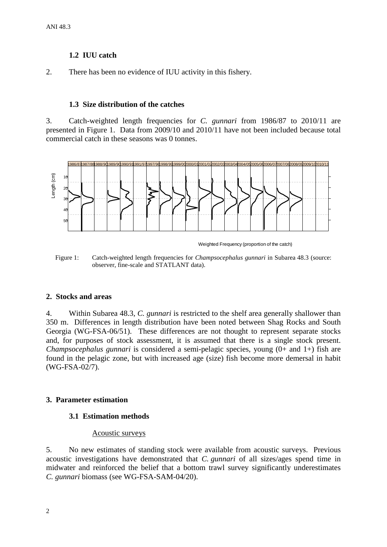# **1.2 IUU catch**

<span id="page-3-0"></span>2. There has been no evidence of IUU activity in this fishery.

## **1.3 Size distribution of the catches**

3. Catch-weighted length frequencies for *C. gunnari* from 1986/87 to 2010/11 are presented in Figure 1. Data from 2009/10 and 2010/11 have not been included because total commercial catch in these seasons was 0 tonnes.



Weighted Frequency (proportion of the catch)

Figure 1: Catch-weighted length frequencies for *Champsocephalus gunnari* in Subarea 48.3 (source: observer, fine-scale and STATLANT data).

## **2. Stocks and areas**

4. Within Subarea 48.3, *C. gunnari* is restricted to the shelf area generally shallower than 350 m. Differences in length distribution have been noted between Shag Rocks and South Georgia (WG-FSA-06/51). These differences are not thought to represent separate stocks and, for purposes of stock assessment, it is assumed that there is a single stock present. *Champsocephalus gunnari* is considered a semi-pelagic species, young (0+ and 1+) fish are found in the pelagic zone, but with increased age (size) fish become more demersal in habit (WG-FSA-02/7).

# **3. Parameter estimation**

## **3.1 Estimation methods**

## Acoustic surveys

5. No new estimates of standing stock were available from acoustic surveys. Previous acoustic investigations have demonstrated that *C. gunnari* of all sizes/ages spend time in midwater and reinforced the belief that a bottom trawl survey significantly underestimates *C. gunnari* biomass (see WG-FSA-SAM-04/20).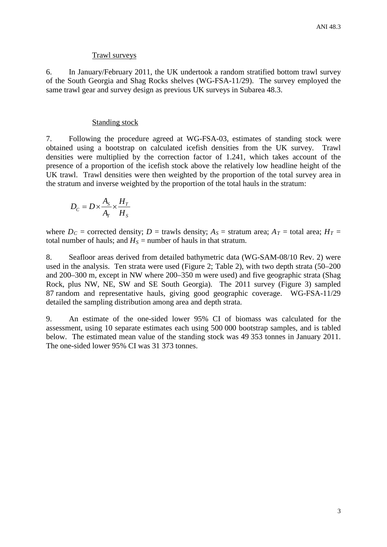## Trawl surveys

6. In January/February 2011, the UK undertook a random stratified bottom trawl survey of the South Georgia and Shag Rocks shelves (WG-FSA-11/29). The survey employed the same trawl gear and survey design as previous UK surveys in Subarea 48.3.

## Standing stock

7. Following the procedure agreed at WG-FSA-03, estimates of standing stock were obtained using a bootstrap on calculated icefish densities from the UK survey. Trawl densities were multiplied by the correction factor of 1.241, which takes account of the presence of a proportion of the icefish stock above the relatively low headline height of the UK trawl. Trawl densities were then weighted by the proportion of the total survey area in the stratum and inverse weighted by the proportion of the total hauls in the stratum:

$$
D_C = D \times \frac{A_s}{A_r} \times \frac{H_r}{H_s}
$$

where  $D_c$  = corrected density;  $D =$  trawls density;  $A_s$  = stratum area;  $A_T$  = total area;  $H_T$  = total number of hauls; and  $H<sub>S</sub>$  = number of hauls in that stratum.

8. Seafloor areas derived from detailed bathymetric data (WG-SAM-08/10 Rev. 2) were used in the analysis. Ten strata were used (Figure 2; Table 2), with two depth strata (50–200 and 200–300 m, except in NW where 200–350 m were used) and five geographic strata (Shag Rock, plus NW, NE, SW and SE South Georgia). The 2011 survey (Figure 3) sampled 87 random and representative hauls, giving good geographic coverage. WG-FSA-11/29 detailed the sampling distribution among area and depth strata.

9. An estimate of the one-sided lower 95% CI of biomass was calculated for the assessment, using 10 separate estimates each using 500 000 bootstrap samples, and is tabled below. The estimated mean value of the standing stock was 49 353 tonnes in January 2011. The one-sided lower 95% CI was 31 373 tonnes.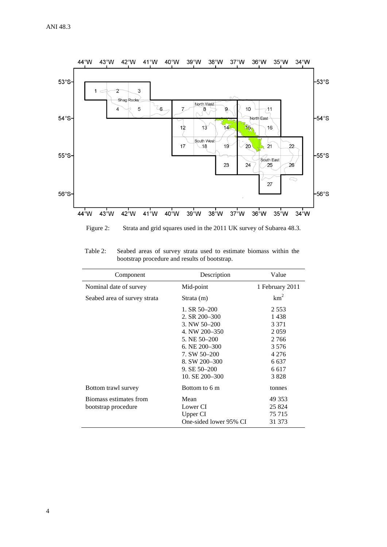

Figure 2: Strata and grid squares used in the 2011 UK survey of Subarea 48.3.

| Table 2: | Seabed areas of survey strata used to estimate biomass within the |
|----------|-------------------------------------------------------------------|
|          | bootstrap procedure and results of bootstrap.                     |

| Component                    | Description            | Value           |
|------------------------------|------------------------|-----------------|
| Nominal date of survey       | Mid-point              | 1 February 2011 |
| Seabed area of survey strata | Strata (m)             | km <sup>2</sup> |
|                              | 1. SR $50-200$         | 2.553           |
|                              | 2. SR 200-300          | 1438            |
|                              | 3. NW 50-200           | 3 3 7 1         |
|                              | 4. NW 200-350          | 2059            |
|                              | 5. NE 50-200           | 2 7 6 6         |
|                              | 6. NE $200 - 300$      | 3 5 7 6         |
|                              | 7. SW 50-200           | 4 2 7 6         |
|                              | 8. SW 200-300          | 6 6 3 7         |
|                              | $9. SE 50 - 200$       | 6.617           |
|                              | 10. SE 200-300         | 3828            |
| Bottom trawl survey          | Bottom to 6 m          | tonnes          |
| Biomass estimates from       | Mean                   | 49 353          |
| bootstrap procedure          | Lower CI               | 25 824          |
|                              | Upper CI               | 75 715          |
|                              | One-sided lower 95% CI | 31 373          |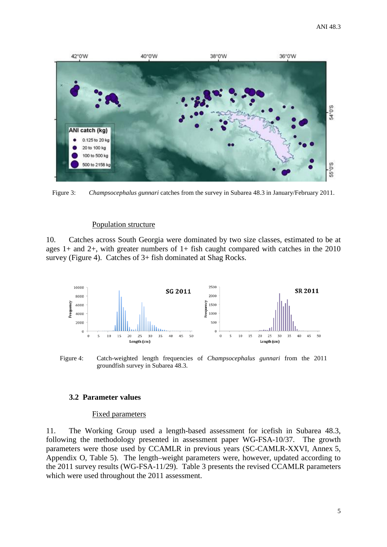

Figure 3: *Champsocephalus gunnari* catches from the survey in Subarea 48.3 in January/February 2011.

### Population structure

10. Catches across South Georgia were dominated by two size classes, estimated to be at ages 1+ and 2+, with greater numbers of 1+ fish caught compared with catches in the 2010 survey (Figure 4). Catches of 3+ fish dominated at Shag Rocks.



Figure 4: Catch-weighted length frequencies of *Champsocephalus gunnari* from the 2011 groundfish survey in Subarea 48.3.

#### **3.2 Parameter values**

#### Fixed parameters

11. The Working Group used a length-based assessment for icefish in Subarea 48.3, following the methodology presented in assessment paper WG-FSA-10/37. The growth parameters were those used by CCAMLR in previous years (SC-CAMLR-XXVI, Annex 5, Appendix O, Table 5). The length–weight parameters were, however, updated according to the 2011 survey results (WG-FSA-11/29). Table 3 presents the revised CCAMLR parameters which were used throughout the 2011 assessment.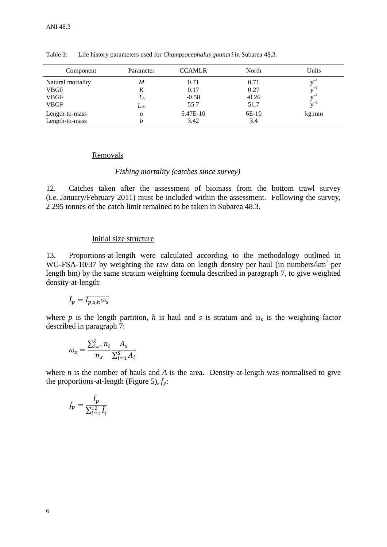| Component         | Parameter    | <b>CCAMLR</b> | North   | Units |
|-------------------|--------------|---------------|---------|-------|
| Natural mortality | M            | 0.71          | 0.71    |       |
| <b>VBGF</b>       | K            | 0.17          | 0.27    |       |
| <b>VBGF</b>       | $T_{\it 0}$  | $-0.58$       | $-0.26$ |       |
| <b>VBGF</b>       | $L_{\infty}$ | 55.7          | 51.7    |       |
| Length-to-mass    | a            | 5.47E-10      | 6E-10   | kg.mm |
| Length-to-mass    | h            | 3.42          | 3.4     |       |

Table 3: Life history parameters used for *Champsocephalus gunnari* in Subarea 48.3.

#### Removals

### *Fishing mortality (catches since survey)*

12. Catches taken after the assessment of biomass from the bottom trawl survey (i.e. January/February 2011) must be included within the assessment. Following the survey, 2 295 tonnes of the catch limit remained to be taken in Subarea 48.3.

### Initial size structure

13. Proportions-at-length were calculated according to the methodology outlined in WG-FSA-10/37 by weighting the raw data on length density per haul (in numbers/ $km^2$  per length bin) by the same stratum weighting formula described in paragraph 7, to give weighted density-at-length:

$$
\tilde{I}_p = \overline{I_{p,s,h}\omega_s}
$$

where *p* is the length partition, *h* is haul and *s* is stratum and  $\omega_s$  is the weighting factor described in paragraph 7:

$$
\omega_s = \frac{\sum_{i=1}^S n_i}{n_s} \frac{A_s}{\sum_{i=1}^S A_i}
$$

where *n* is the number of hauls and *A* is the area. Density-at-length was normalised to give the proportions-at-length (Figure 5),  $f_p$ :

$$
f_p = \frac{\tilde{I}_p}{\sum_{i=1}^{12} \tilde{I}_i}
$$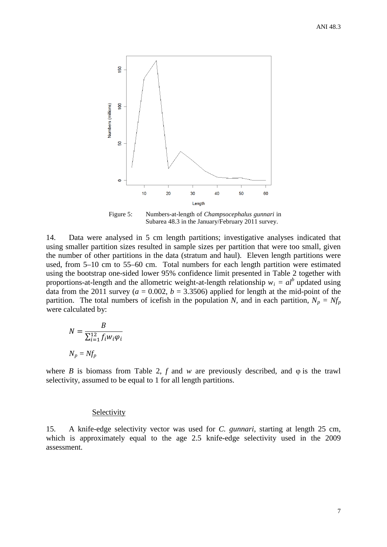

Figure 5: Numbers-at-length of *Champsocephalus gunnari* in Subarea 48.3 in the January/February 2011 survey.

14. Data were analysed in 5 cm length partitions; investigative analyses indicated that using smaller partition sizes resulted in sample sizes per partition that were too small, given the number of other partitions in the data (stratum and haul). Eleven length partitions were used, from 5–10 cm to 55–60 cm. Total numbers for each length partition were estimated using the bootstrap one-sided lower 95% confidence limit presented in Table 2 together with proportions-at-length and the allometric weight-at-length relationship  $w_i = a l^b$  updated using data from the 2011 survey ( $a = 0.002$ ,  $b = 3.3506$ ) applied for length at the mid-point of the partition. The total numbers of icefish in the population *N*, and in each partition,  $N_p = Nf_p$ were calculated by:

$$
N = \frac{B}{\sum_{i=1}^{12} f_i w_i \varphi_i}
$$

$$
N_p = Nf_p
$$

where *B* is biomass from Table 2,  $f$  and  $w$  are previously described, and  $\varphi$  is the trawl selectivity, assumed to be equal to 1 for all length partitions.

## **Selectivity**

15. A knife-edge selectivity vector was used for *C. gunnari,* starting at length 25 cm, which is approximately equal to the age 2.5 knife-edge selectivity used in the 2009 assessment.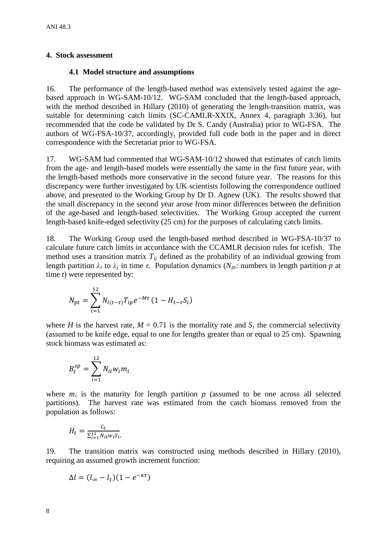## <span id="page-9-0"></span>**4. Stock assessment**

## **4.1 Model structure and assumptions**

16. The performance of the length-based method was extensively tested against the agebased approach in WG-SAM-10/12. WG-SAM concluded that the length-based approach, with the method described in Hillary (2010) of generating the length-transition matrix, was suitable for determining catch limits (SC-CAMLR-XXIX, Annex 4, paragraph 3.36), but recommended that the code be validated by Dr S. Candy (Australia) prior to WG-FSA. The authors of WG-FSA-10/37, accordingly, provided full code both in the paper and in direct correspondence with the Secretariat prior to WG-FSA.

17. WG-SAM had commented that WG-SAM-10/12 showed that estimates of catch limits from the age- and length-based models were essentially the same in the first future year, with the length-based methods more conservative in the second future year. The reasons for this discrepancy were further investigated by UK scientists following the correspondence outlined above, and presented to the Working Group by Dr D. Agnew (UK). The results showed that the small discrepancy in the second year arose from minor differences between the definition of the age-based and length-based selectivities. The Working Group accepted the current length-based knife-edged selectivity (25 cm) for the purposes of calculating catch limits.

18. The Working Group used the length-based method described in WG-FSA-10/37 to calculate future catch limits in accordance with the CCAMLR decision rules for icefish. The method uses a transition matrix  $T_{ii}$  defined as the probability of an individual growing from length partition  $λ<sub>i</sub>$  to  $λ<sub>j</sub>$  in time *τ*. Population dynamics ( $N<sub>pt</sub>$ : numbers in length partition *p* at time *t*) were represented by:

$$
N_{pt} = \sum_{i=1}^{12} N_{i(t-\tau)} T_{ip} e^{-M\tau} (1 - H_{t-\tau} S_i)
$$

where *H* is the harvest rate,  $M = 0.71$  is the mortality rate and  $S_i$  the commercial selectivity (assumed to be knife edge, equal to one for lengths greater than or equal to 25 cm). Spawning stock biomass was estimated as:

$$
B_t^{sp} = \sum_{i=1}^{12} N_{it} w_i m_i
$$

where  $m_i$  is the maturity for length partition  $p$  (assumed to be one across all selected partitions). The harvest rate was estimated from the catch biomass removed from the population as follows:

$$
H_t = \frac{c_t}{\sum_{i=1}^{12} N_{it} w_i S_i}.
$$

19. The transition matrix was constructed using methods described in Hillary (2010), requiring an assumed growth increment function:

$$
\Delta l = (l_{\infty} - l_t)(1 - e^{-\kappa \tau})
$$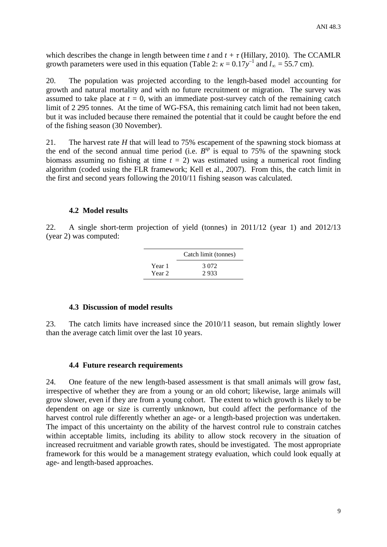which describes the change in length between time *t* and  $t + \tau$  (Hillary, 2010). The CCAMLR growth parameters were used in this equation (Table 2:  $\kappa = 0.17y^{-1}$  and  $l_{\infty} = 55.7$  cm).

20. The population was projected according to the length-based model accounting for growth and natural mortality and with no future recruitment or migration. The survey was assumed to take place at  $t = 0$ , with an immediate post-survey catch of the remaining catch limit of 2 295 tonnes. At the time of WG-FSA, this remaining catch limit had not been taken, but it was included because there remained the potential that it could be caught before the end of the fishing season (30 November).

21. The harvest rate *H* that will lead to 75% escapement of the spawning stock biomass at the end of the second annual time period (i.e.  $B^{sp}$  is equal to 75% of the spawning stock biomass assuming no fishing at time  $t = 2$ ) was estimated using a numerical root finding algorithm (coded using the FLR framework; Kell et al., 2007). From this, the catch limit in the first and second years following the 2010/11 fishing season was calculated.

### **4.2 Model results**

22. A single short-term projection of yield (tonnes) in 2011/12 (year 1) and 2012/13 (year 2) was computed:

|        | Catch limit (tonnes) |
|--------|----------------------|
| Year 1 | 3.072                |
| Year 2 | 2.933                |

### **4.3 Discussion of model results**

23. The catch limits have increased since the 2010/11 season, but remain slightly lower than the average catch limit over the last 10 years.

### **4.4 Future research requirements**

24. One feature of the new length-based assessment is that small animals will grow fast, irrespective of whether they are from a young or an old cohort; likewise, large animals will grow slower, even if they are from a young cohort. The extent to which growth is likely to be dependent on age or size is currently unknown, but could affect the performance of the harvest control rule differently whether an age- or a length-based projection was undertaken. The impact of this uncertainty on the ability of the harvest control rule to constrain catches within acceptable limits, including its ability to allow stock recovery in the situation of increased recruitment and variable growth rates, should be investigated. The most appropriate framework for this would be a management strategy evaluation, which could look equally at age- and length-based approaches.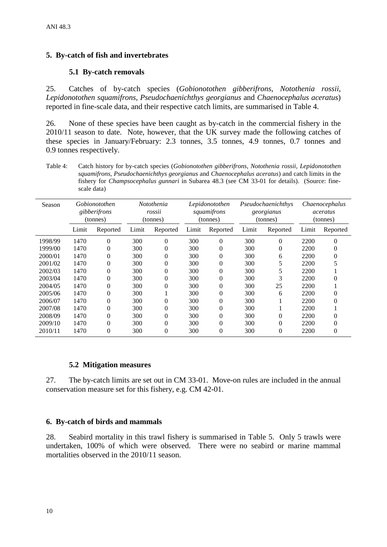# <span id="page-11-0"></span>**5. By-catch of fish and invertebrates**

# **5.1 By-catch removals**

25. Catches of by-catch species (*Gobionotothen gibberifrons*, *Notothenia rossii*, *Lepidonotothen squamifrons*, *Pseudochaenichthys georgianus* and *Chaenocephalus aceratus*) reported in fine-scale data, and their respective catch limits, are summarised in Table 4.

26. None of these species have been caught as by-catch in the commercial fishery in the 2010/11 season to date. Note, however, that the UK survey made the following catches of these species in January/February: 2.3 tonnes, 3.5 tonnes, 4.9 tonnes, 0.7 tonnes and 0.9 tonnes respectively.

Table 4: Catch history for by-catch species (*Gobionotothen gibberifrons*, *Notothenia rossii*, *Lepidonotothen squamifrons*, *Pseudochaenichthys georgianus* and *Chaenocephalus aceratus*) and catch limits in the fishery for *Champsocephalus gunnari* in Subarea 48.3 (see CM 33-01 for details). (Source: finescale data)

| Season  | Gobionotothen<br>gibberifrons<br>(tonnes) |          | Notothenia<br>rossii<br>(tonnes) |          | Lepidonotothen<br>squamifrons<br>(tonnes) |          | Pseudochaenichthys<br>georgianus<br>(tonnes) |          | <i>Chaenocephalus</i><br>aceratus<br>(tonnes) |          |
|---------|-------------------------------------------|----------|----------------------------------|----------|-------------------------------------------|----------|----------------------------------------------|----------|-----------------------------------------------|----------|
|         | Limit                                     | Reported | Limit                            | Reported | Limit                                     | Reported | Limit                                        | Reported | Limit                                         | Reported |
| 1998/99 | 1470                                      | $\theta$ | 300                              | $\theta$ | 300                                       | $\theta$ | 300                                          | 0        | 2200                                          | 0        |
| 1999/00 | 1470                                      | $\theta$ | 300                              | 0        | 300                                       | 0        | 300                                          | 0        | 2200                                          |          |
| 2000/01 | 1470                                      | $\theta$ | 300                              | 0        | 300                                       | 0        | 300                                          | 6        | 2200                                          |          |
| 2001/02 | 1470                                      | $\theta$ | 300                              | $\theta$ | 300                                       | 0        | 300                                          | 5        | 2200                                          |          |
| 2002/03 | 1470                                      | $\theta$ | 300                              | 0        | 300                                       | 0        | 300                                          | 5        | 2200                                          |          |
| 2003/04 | 1470                                      | $\theta$ | 300                              | $^{(1)}$ | 300                                       | 0        | 300                                          | 3        | 2200                                          |          |
| 2004/05 | 1470                                      | $\theta$ | 300                              | 0        | 300                                       | 0        | 300                                          | 25       | 2200                                          |          |
| 2005/06 | 1470                                      | $\theta$ | 300                              |          | 300                                       | 0        | 300                                          | 6        | 2200                                          |          |
| 2006/07 | 1470                                      | 0        | 300                              | 0        | 300                                       | 0        | 300                                          |          | 2200                                          |          |
| 2007/08 | 1470                                      | $\theta$ | 300                              | 0        | 300                                       | 0        | 300                                          |          | 2200                                          |          |
| 2008/09 | 1470                                      | $\Omega$ | 300                              | 0        | 300                                       | 0        | 300                                          | 0        | 2200                                          |          |
| 2009/10 | 1470                                      | $\Omega$ | 300                              | 0        | 300                                       | $^{(1)}$ | 300                                          | 0        | 2200                                          |          |
| 2010/11 | 1470                                      | $\Omega$ | 300                              | 0        | 300                                       | $\Omega$ | 300                                          | 0        | 2200                                          | 0        |

### **5.2 Mitigation measures**

27. The by-catch limits are set out in CM 33-01. Move-on rules are included in the annual conservation measure set for this fishery, e.g. CM 42-01.

## **6. By-catch of birds and mammals**

28. Seabird mortality in this trawl fishery is summarised in Table 5. Only 5 trawls were undertaken, 100% of which were observed. There were no seabird or marine mammal mortalities observed in the 2010/11 season.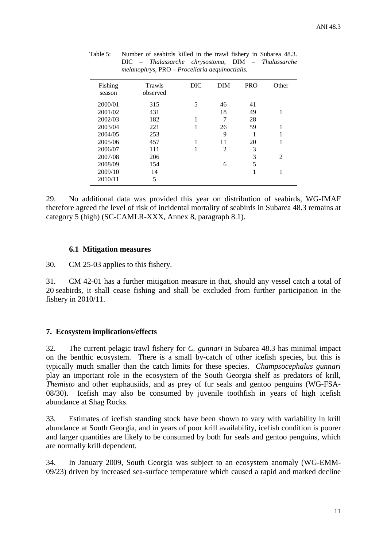| Fishing<br>season | Trawls<br>observed | DIC | <b>DIM</b>     | <b>PRO</b> | Other |
|-------------------|--------------------|-----|----------------|------------|-------|
| 2000/01           | 315                | 5   | 46             | 41         |       |
| 2001/02           | 431                |     | 18             | 49         | 1     |
| 2002/03           | 182                |     | 7              | 28         |       |
| 2003/04           | 221                |     | 26             | 59         |       |
| 2004/05           | 253                |     | 9              |            |       |
| 2005/06           | 457                |     | 11             | 20         |       |
| 2006/07           | 111                | 1   | $\overline{2}$ | 3          |       |
| 2007/08           | 206                |     |                | 3          | 2     |
| 2008/09           | 154                |     | 6              | 5          |       |
| 2009/10           | 14                 |     |                |            |       |
| 2010/11           | 5                  |     |                |            |       |

<span id="page-12-0"></span>Table 5: Number of seabirds killed in the trawl fishery in Subarea 48.3. DIC – *Thalassarche chrysostoma*, DIM – *Thalassarche melanophrys*, PRO – *Procellaria aequinoctialis.*

29. No additional data was provided this year on distribution of seabirds, WG-IMAF therefore agreed the level of risk of incidental mortality of seabirds in Subarea 48.3 remains at category 5 (high) (SC-CAMLR-XXX, Annex 8, paragraph 8.1).

## **6.1 Mitigation measures**

30. CM 25-03 applies to this fishery.

31. CM 42-01 has a further mitigation measure in that, should any vessel catch a total of 20 seabirds, it shall cease fishing and shall be excluded from further participation in the fishery in 2010/11.

# **7. Ecosystem implications/effects**

32. The current pelagic trawl fishery for *C. gunnari* in Subarea 48.3 has minimal impact on the benthic ecosystem. There is a small by-catch of other icefish species, but this is typically much smaller than the catch limits for these species. *Champsocephalus gunnari* play an important role in the ecosystem of the South Georgia shelf as predators of krill, *Themisto* and other euphausiids, and as prey of fur seals and gentoo penguins (WG-FSA-08/30). Icefish may also be consumed by juvenile toothfish in years of high icefish abundance at Shag Rocks.

33. Estimates of icefish standing stock have been shown to vary with variability in krill abundance at South Georgia, and in years of poor krill availability, icefish condition is poorer and larger quantities are likely to be consumed by both fur seals and gentoo penguins, which are normally krill dependent.

34. In January 2009, South Georgia was subject to an ecosystem anomaly (WG-EMM-09/23) driven by increased sea-surface temperature which caused a rapid and marked decline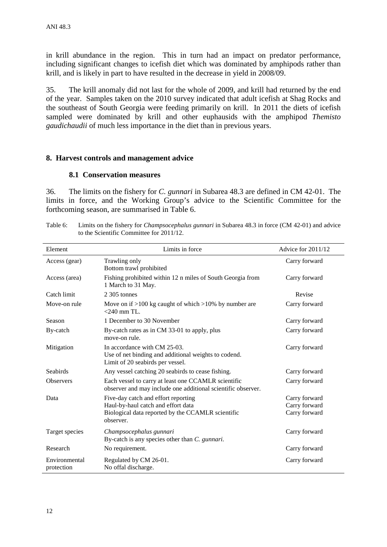<span id="page-13-0"></span>in krill abundance in the region. This in turn had an impact on predator performance, including significant changes to icefish diet which was dominated by amphipods rather than krill, and is likely in part to have resulted in the decrease in yield in 2008/09.

35. The krill anomaly did not last for the whole of 2009, and krill had returned by the end of the year. Samples taken on the 2010 survey indicated that adult icefish at Shag Rocks and the southeast of South Georgia were feeding primarily on krill. In 2011 the diets of icefish sampled were dominated by krill and other euphausids with the amphipod *Themisto gaudichaudii* of much less importance in the diet than in previous years.

## **8. Harvest controls and management advice**

## **8.1 Conservation measures**

36. The limits on the fishery for *C. gunnari* in Subarea 48.3 are defined in CM 42-01. The limits in force, and the Working Group's advice to the Scientific Committee for the forthcoming season, are summarised in Table 6.

| Table 6: | Limits on the fishery for <i>Champsocephalus gunnari</i> in Subarea 48.3 in force (CM 42-01) and advice |
|----------|---------------------------------------------------------------------------------------------------------|
|          | to the Scientific Committee for 2011/12.                                                                |

| Element                     | Limits in force                                                                                                                             | Advice for 2011/12                              |
|-----------------------------|---------------------------------------------------------------------------------------------------------------------------------------------|-------------------------------------------------|
| Access (gear)               | Trawling only<br>Bottom trawl prohibited                                                                                                    | Carry forward                                   |
| Access (area)               | Fishing prohibited within 12 n miles of South Georgia from<br>1 March to 31 May.                                                            | Carry forward                                   |
| Catch limit                 | 2.305 tonnes                                                                                                                                | Revise                                          |
| Move-on rule                | Move on if $>100$ kg caught of which $>10\%$ by number are<br>$<$ 240 mm TL.                                                                | Carry forward                                   |
| Season                      | 1 December to 30 November                                                                                                                   | Carry forward                                   |
| By-catch                    | By-catch rates as in CM 33-01 to apply, plus<br>move-on rule.                                                                               | Carry forward                                   |
| Mitigation                  | In accordance with CM 25-03.<br>Use of net binding and additional weights to codend.<br>Limit of 20 seabirds per vessel.                    | Carry forward                                   |
| Seabirds                    | Any vessel catching 20 seabirds to cease fishing.                                                                                           | Carry forward                                   |
| <b>Observers</b>            | Each vessel to carry at least one CCAMLR scientific<br>observer and may include one additional scientific observer.                         | Carry forward                                   |
| Data                        | Five-day catch and effort reporting<br>Haul-by-haul catch and effort data<br>Biological data reported by the CCAMLR scientific<br>observer. | Carry forward<br>Carry forward<br>Carry forward |
| Target species              | Champsocephalus gunnari<br>By-catch is any species other than C. gunnari.                                                                   | Carry forward                                   |
| Research                    | No requirement.                                                                                                                             | Carry forward                                   |
| Environmental<br>protection | Regulated by CM 26-01.<br>No offal discharge.                                                                                               | Carry forward                                   |